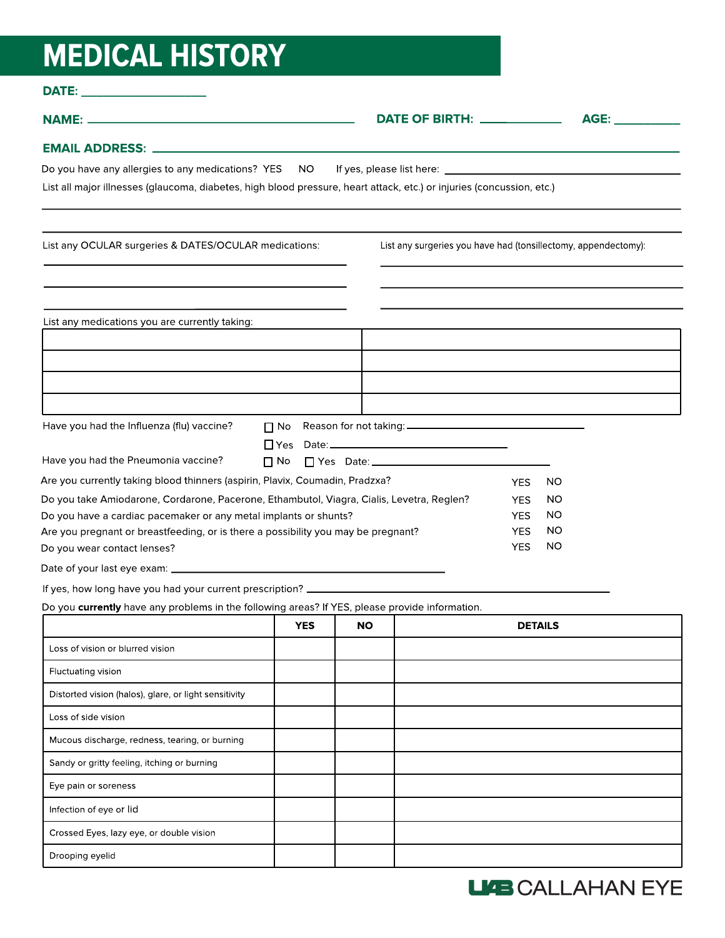## **MEDICAL HISTORY**

Drooping eyelid

| DATE: _______________________                                                                                         |            |           |                                                                |                   |
|-----------------------------------------------------------------------------------------------------------------------|------------|-----------|----------------------------------------------------------------|-------------------|
|                                                                                                                       |            |           | DATE OF BIRTH: ____________                                    | AGE: ____________ |
|                                                                                                                       |            |           |                                                                |                   |
| Do you have any allergies to any medications? YES NO                                                                  |            |           |                                                                |                   |
| List all major illnesses (glaucoma, diabetes, high blood pressure, heart attack, etc.) or injuries (concussion, etc.) |            |           |                                                                |                   |
| List any OCULAR surgeries & DATES/OCULAR medications:                                                                 |            |           | List any surgeries you have had (tonsillectomy, appendectomy): |                   |
|                                                                                                                       |            |           |                                                                |                   |
| List any medications you are currently taking:                                                                        |            |           |                                                                |                   |
|                                                                                                                       |            |           |                                                                |                   |
|                                                                                                                       |            |           |                                                                |                   |
|                                                                                                                       |            |           |                                                                |                   |
| Have you had the Influenza (flu) vaccine?                                                                             | $\Box$ No  |           |                                                                |                   |
| Have you had the Pneumonia vaccine?                                                                                   | $\Box$ No  |           | □ Yes Date: <u>_________________________________</u>           |                   |
| Are you currently taking blood thinners (aspirin, Plavix, Coumadin, Pradzxa?                                          |            |           | <b>YES</b>                                                     | NO                |
| Do you take Amiodarone, Cordarone, Pacerone, Ethambutol, Viagra, Cialis, Levetra, Reglen?                             |            |           | <b>YES</b>                                                     | NO                |
| Do you have a cardiac pacemaker or any metal implants or shunts?                                                      |            |           | <b>YES</b>                                                     | ΝO                |
| Are you pregnant or breastfeeding, or is there a possibility you may be pregnant?                                     |            |           | <b>YES</b>                                                     | NO                |
| Do you wear contact lenses?                                                                                           |            |           | <b>YES</b>                                                     | <b>NO</b>         |
|                                                                                                                       |            |           |                                                                |                   |
| If yes, how long have you had your current prescription? _______________________                                      |            |           |                                                                |                   |
| Do you currently have any problems in the following areas? If YES, please provide information.                        |            |           |                                                                |                   |
|                                                                                                                       | <b>YES</b> | <b>NO</b> |                                                                | <b>DETAILS</b>    |
| Loss of vision or blurred vision                                                                                      |            |           |                                                                |                   |
| Fluctuating vision                                                                                                    |            |           |                                                                |                   |
| Distorted vision (halos), glare, or light sensitivity                                                                 |            |           |                                                                |                   |
| Loss of side vision                                                                                                   |            |           |                                                                |                   |
| Mucous discharge, redness, tearing, or burning                                                                        |            |           |                                                                |                   |
| Sandy or gritty feeling, itching or burning                                                                           |            |           |                                                                |                   |
| Eye pain or soreness                                                                                                  |            |           |                                                                |                   |
| Infection of eye or lid                                                                                               |            |           |                                                                |                   |
| Crossed Eyes, lazy eye, or double vision                                                                              |            |           |                                                                |                   |